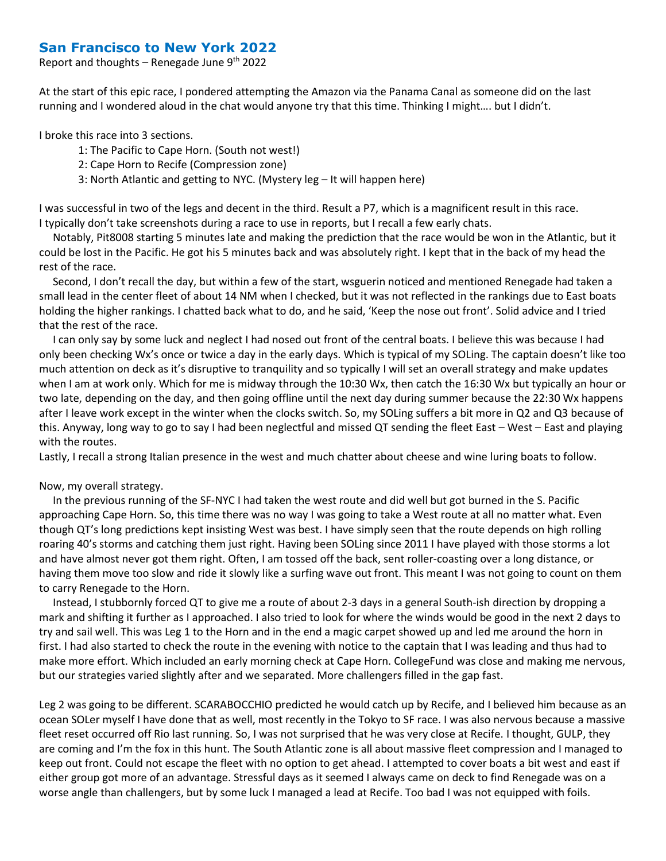## **San Francisco to New York 2022**

Report and thoughts – Renegade June  $9<sup>th</sup>$  2022

At the start of this epic race, I pondered attempting the Amazon via the Panama Canal as someone did on the last running and I wondered aloud in the chat would anyone try that this time. Thinking I might…. but I didn't.

I broke this race into 3 sections.

- 1: The Pacific to Cape Horn. (South not west!)
- 2: Cape Horn to Recife (Compression zone)
- 3: North Atlantic and getting to NYC. (Mystery leg It will happen here)

I was successful in two of the legs and decent in the third. Result a P7, which is a magnificent result in this race. I typically don't take screenshots during a race to use in reports, but I recall a few early chats.

 Notably, Pit8008 starting 5 minutes late and making the prediction that the race would be won in the Atlantic, but it could be lost in the Pacific. He got his 5 minutes back and was absolutely right. I kept that in the back of my head the rest of the race.

 Second, I don't recall the day, but within a few of the start, wsguerin noticed and mentioned Renegade had taken a small lead in the center fleet of about 14 NM when I checked, but it was not reflected in the rankings due to East boats holding the higher rankings. I chatted back what to do, and he said, 'Keep the nose out front'. Solid advice and I tried that the rest of the race.

 I can only say by some luck and neglect I had nosed out front of the central boats. I believe this was because I had only been checking Wx's once or twice a day in the early days. Which is typical of my SOLing. The captain doesn't like too much attention on deck as it's disruptive to tranquility and so typically I will set an overall strategy and make updates when I am at work only. Which for me is midway through the 10:30 Wx, then catch the 16:30 Wx but typically an hour or two late, depending on the day, and then going offline until the next day during summer because the 22:30 Wx happens after I leave work except in the winter when the clocks switch. So, my SOLing suffers a bit more in Q2 and Q3 because of this. Anyway, long way to go to say I had been neglectful and missed QT sending the fleet East – West – East and playing with the routes.

Lastly, I recall a strong Italian presence in the west and much chatter about cheese and wine luring boats to follow.

## Now, my overall strategy.

 In the previous running of the SF-NYC I had taken the west route and did well but got burned in the S. Pacific approaching Cape Horn. So, this time there was no way I was going to take a West route at all no matter what. Even though QT's long predictions kept insisting West was best. I have simply seen that the route depends on high rolling roaring 40's storms and catching them just right. Having been SOLing since 2011 I have played with those storms a lot and have almost never got them right. Often, I am tossed off the back, sent roller-coasting over a long distance, or having them move too slow and ride it slowly like a surfing wave out front. This meant I was not going to count on them to carry Renegade to the Horn.

 Instead, I stubbornly forced QT to give me a route of about 2-3 days in a general South-ish direction by dropping a mark and shifting it further as I approached. I also tried to look for where the winds would be good in the next 2 days to try and sail well. This was Leg 1 to the Horn and in the end a magic carpet showed up and led me around the horn in first. I had also started to check the route in the evening with notice to the captain that I was leading and thus had to make more effort. Which included an early morning check at Cape Horn. CollegeFund was close and making me nervous, but our strategies varied slightly after and we separated. More challengers filled in the gap fast.

Leg 2 was going to be different. SCARABOCCHIO predicted he would catch up by Recife, and I believed him because as an ocean SOLer myself I have done that as well, most recently in the Tokyo to SF race. I was also nervous because a massive fleet reset occurred off Rio last running. So, I was not surprised that he was very close at Recife. I thought, GULP, they are coming and I'm the fox in this hunt. The South Atlantic zone is all about massive fleet compression and I managed to keep out front. Could not escape the fleet with no option to get ahead. I attempted to cover boats a bit west and east if either group got more of an advantage. Stressful days as it seemed I always came on deck to find Renegade was on a worse angle than challengers, but by some luck I managed a lead at Recife. Too bad I was not equipped with foils.